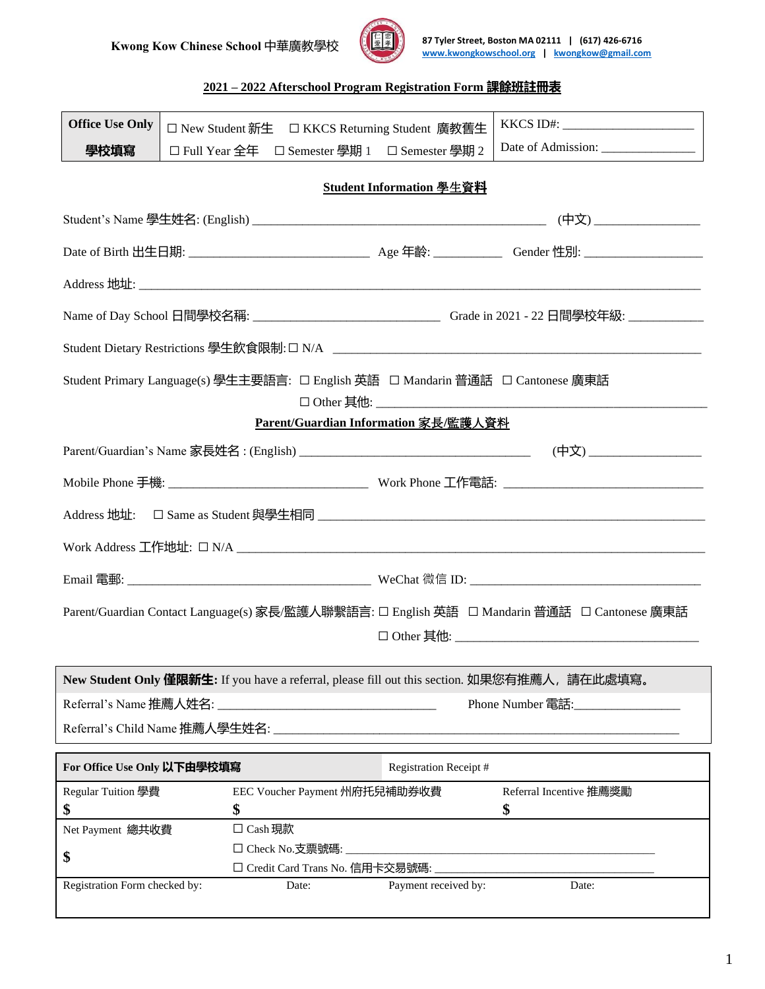

**Kwong Kow Chinese School 中華廣教學校 87 Tyler Street, Boston MA 02111 | (617) 426-6716 [www.kwongkowschool.org](http://www.kwongkowschool.org/) | [kwongkow@gmail.com](mailto:kwongkow@gmail.com)**

### **2021 – 2022 Afterschool Program Registration Form 課餘班註冊表**

| <b>Office Use Only</b>                                                                        | □ New Student 新生 □ KKCS Returning Student 廣教舊生                                              |                                      |                                                                                           |  |  |  |
|-----------------------------------------------------------------------------------------------|---------------------------------------------------------------------------------------------|--------------------------------------|-------------------------------------------------------------------------------------------|--|--|--|
| 學校填寫                                                                                          | □ Full Year 全年 □ Semester 學期 1 □ Semester 學期 2                                              |                                      |                                                                                           |  |  |  |
| Student Information 學生資料                                                                      |                                                                                             |                                      |                                                                                           |  |  |  |
|                                                                                               |                                                                                             |                                      |                                                                                           |  |  |  |
|                                                                                               |                                                                                             |                                      |                                                                                           |  |  |  |
|                                                                                               |                                                                                             |                                      |                                                                                           |  |  |  |
|                                                                                               |                                                                                             |                                      |                                                                                           |  |  |  |
|                                                                                               |                                                                                             |                                      |                                                                                           |  |  |  |
| Student Primary Language(s) 學生主要語言: □ English 英語 □ Mandarin 普通話 □ Cantonese 廣東話               |                                                                                             |                                      |                                                                                           |  |  |  |
|                                                                                               |                                                                                             | Parent/Guardian Information 家長/監護人資料 |                                                                                           |  |  |  |
|                                                                                               |                                                                                             |                                      | (中文) _____________________                                                                |  |  |  |
|                                                                                               |                                                                                             |                                      |                                                                                           |  |  |  |
|                                                                                               |                                                                                             |                                      |                                                                                           |  |  |  |
|                                                                                               |                                                                                             |                                      |                                                                                           |  |  |  |
|                                                                                               |                                                                                             |                                      |                                                                                           |  |  |  |
|                                                                                               | Parent/Guardian Contact Language(s) 家長/監護人聯繫語言: □ English 英語 □ Mandarin 普通話 □ Cantonese 廣東話 |                                      |                                                                                           |  |  |  |
|                                                                                               |                                                                                             |                                      |                                                                                           |  |  |  |
| New Student Only 僅限新生: If you have a referral, please fill out this section. 如果您有推薦人, 請在此處填寫。 |                                                                                             |                                      |                                                                                           |  |  |  |
| Referral's Name 推薦人姓名:<br>Phone Number 電話:                                                    |                                                                                             |                                      |                                                                                           |  |  |  |
|                                                                                               |                                                                                             |                                      |                                                                                           |  |  |  |
| For Office Use Only 以下由學校填寫<br><b>Registration Receipt#</b>                                   |                                                                                             |                                      |                                                                                           |  |  |  |
| Regular Tuition 學費<br>\$                                                                      | EEC Voucher Payment 州府托兒補助券收費<br>\$                                                         |                                      | Referral Incentive 推薦獎勵<br>\$                                                             |  |  |  |
| Net Payment 總共收費                                                                              | $\Box$ Cash 現款                                                                              |                                      |                                                                                           |  |  |  |
| \$                                                                                            | □ Check No.支票號碼:<br>□ Credit Card Trans No. 信用卡交易號碼:                                        |                                      | the control of the control of the control of the control of the control of the control of |  |  |  |
| Registration Form checked by:                                                                 | Date:                                                                                       | Payment received by:                 | Date:                                                                                     |  |  |  |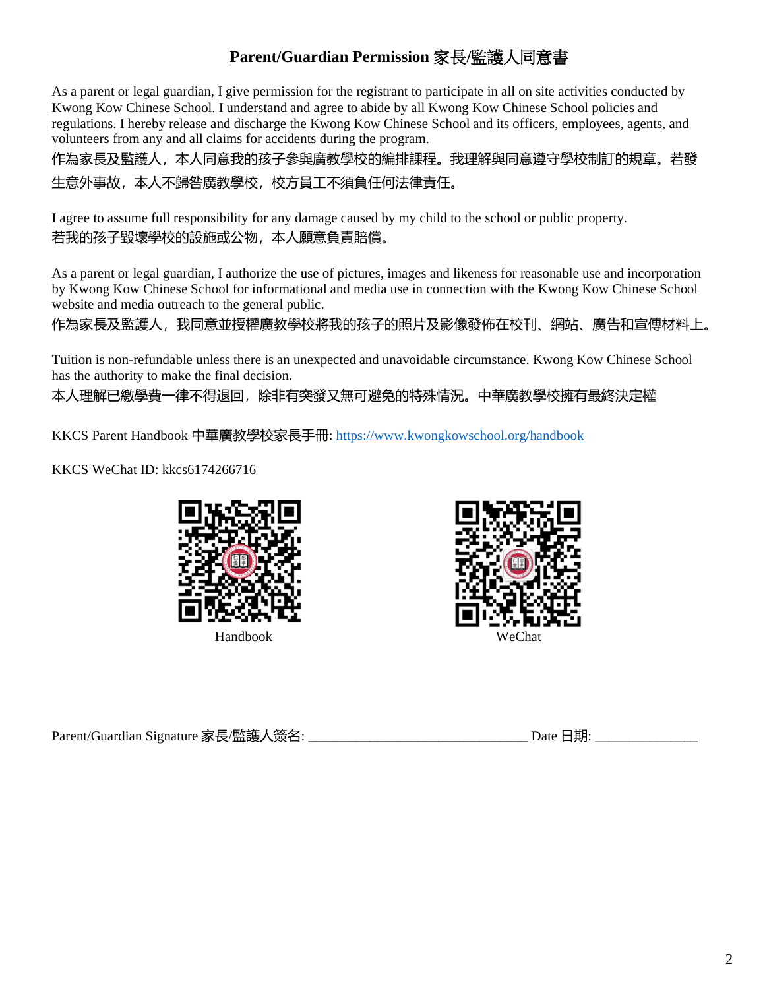## **Parent/Guardian Permission** 家長**/**監護人同意書

As a parent or legal guardian, I give permission for the registrant to participate in all on site activities conducted by Kwong Kow Chinese School. I understand and agree to abide by all Kwong Kow Chinese School policies and regulations. I hereby release and discharge the Kwong Kow Chinese School and its officers, employees, agents, and volunteers from any and all claims for accidents during the program.

作為家長及監護人,本人同意我的孩子參與廣教學校的編排課程。我理解與同意遵守學校制訂的規章。若發 生意外事故,本人不歸咎廣教學校,校方員工不須負任何法律責任。

I agree to assume full responsibility for any damage caused by my child to the school or public property. 若我的孩子毀壞學校的設施或公物,本人願意負責賠償。

As a parent or legal guardian, I authorize the use of pictures, images and likeness for reasonable use and incorporation by Kwong Kow Chinese School for informational and media use in connection with the Kwong Kow Chinese School website and media outreach to the general public.

作為家長及監護人,我同意並授權廣教學校將我的孩子的照片及影像發佈在校刊、網站、廣告和宣傳材料上。

Tuition is non-refundable unless there is an unexpected and unavoidable circumstance. Kwong Kow Chinese School has the authority to make the final decision.

本人理解已繳學費一律不得退回,除非有突發又無可避免的特殊情況。中華廣教學校擁有最終決定權

KKCS Parent Handbook 中華廣教學校家長手冊[: https://www.kwongkowschool.org/handbook](https://www.kwongkowschool.org/handbook)

KKCS WeChat ID: kkcs6174266716





Parent/Guardian Signature 家長/監護人簽名: **\_\_\_\_\_\_\_\_\_\_\_\_\_\_\_\_\_\_\_\_\_\_\_\_\_\_\_\_\_\_\_\_** Date 日期: \_\_\_\_\_\_\_\_\_\_\_\_\_\_\_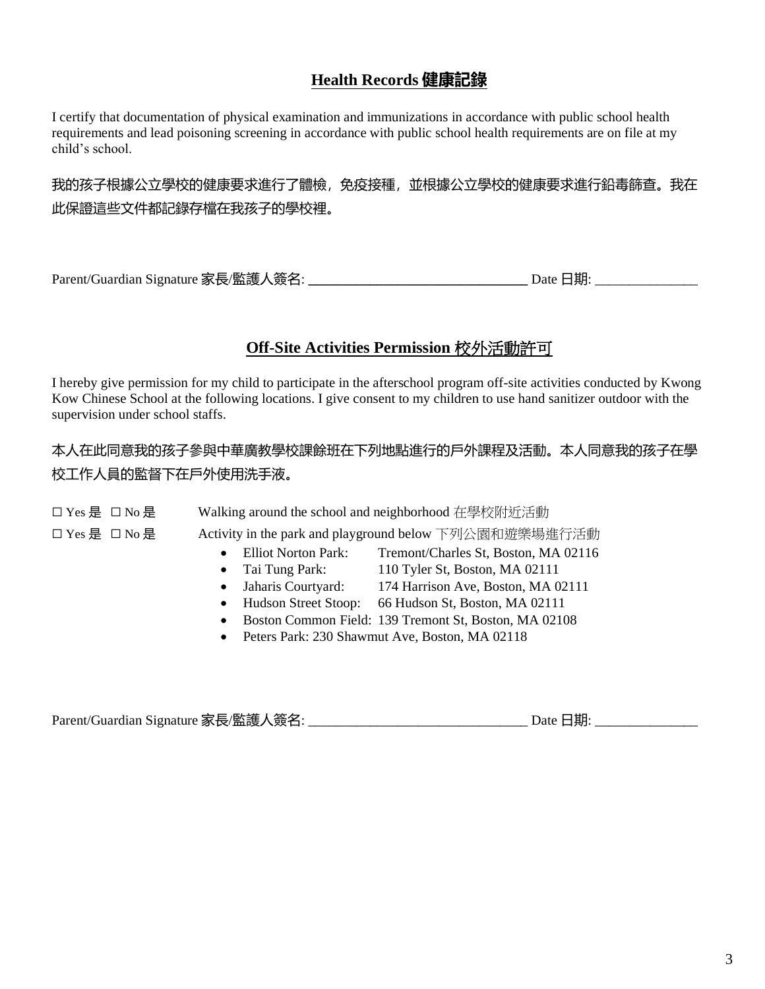## **Health Records 健康記錄**

I certify that documentation of physical examination and immunizations in accordance with public school health requirements and lead poisoning screening in accordance with public school health requirements are on file at my child's school.

## 我的孩子根據公立學校的健康要求進行了體檢,免疫接種,並根據公立學校的健康要求進行鉛毒篩查。我在 此保證這些文件都記錄存檔在我孩子的學校裡。

Parent/Guardian Signature 家長/監護人簽名: **\_\_\_\_\_\_\_\_\_\_\_\_\_\_\_\_\_\_\_\_\_\_\_\_\_\_\_\_\_\_\_\_** Date 日期: \_\_\_\_\_\_\_\_\_\_\_\_\_\_\_

### **Off-Site Activities Permission** 校外活動許可

I hereby give permission for my child to participate in the afterschool program off-site activities conducted by Kwong Kow Chinese School at the following locations. I give consent to my children to use hand sanitizer outdoor with the supervision under school staffs.

## 本人在此同意我的孩子參與中華廣教學校課餘班在下列地點進行的戶外課程及活動。本人同意我的孩子在學 校工作人員的監督下在戶外使用洗手液。

| □ Yes 是 □ No 是 | Walking around the school and neighborhood 在學校附近活動                 |  |  |
|----------------|--------------------------------------------------------------------|--|--|
| □ Yes 是 □ No 是 | Activity in the park and playground below 下列公園和遊樂場進行活動             |  |  |
|                | <b>Elliot Norton Park:</b><br>Tremont/Charles St, Boston, MA 02116 |  |  |
|                | 110 Tyler St, Boston, MA 02111<br>$\bullet$ Tai Tung Park:         |  |  |
|                | 174 Harrison Ave, Boston, MA 02111<br>Jaharis Courtyard:           |  |  |
|                | Hudson Street Stoop:<br>66 Hudson St, Boston, MA 02111             |  |  |

- Boston Common Field: 139 Tremont St, Boston, MA 02108
- Peters Park: 230 Shawmut Ave, Boston, MA 02118

Parent/Guardian Signature 家長/監護人簽名: \_\_\_\_\_\_\_\_\_\_\_\_\_\_\_\_\_\_\_\_\_\_\_\_\_\_\_\_\_\_\_\_ Date 日期: \_\_\_\_\_\_\_\_\_\_\_\_\_\_\_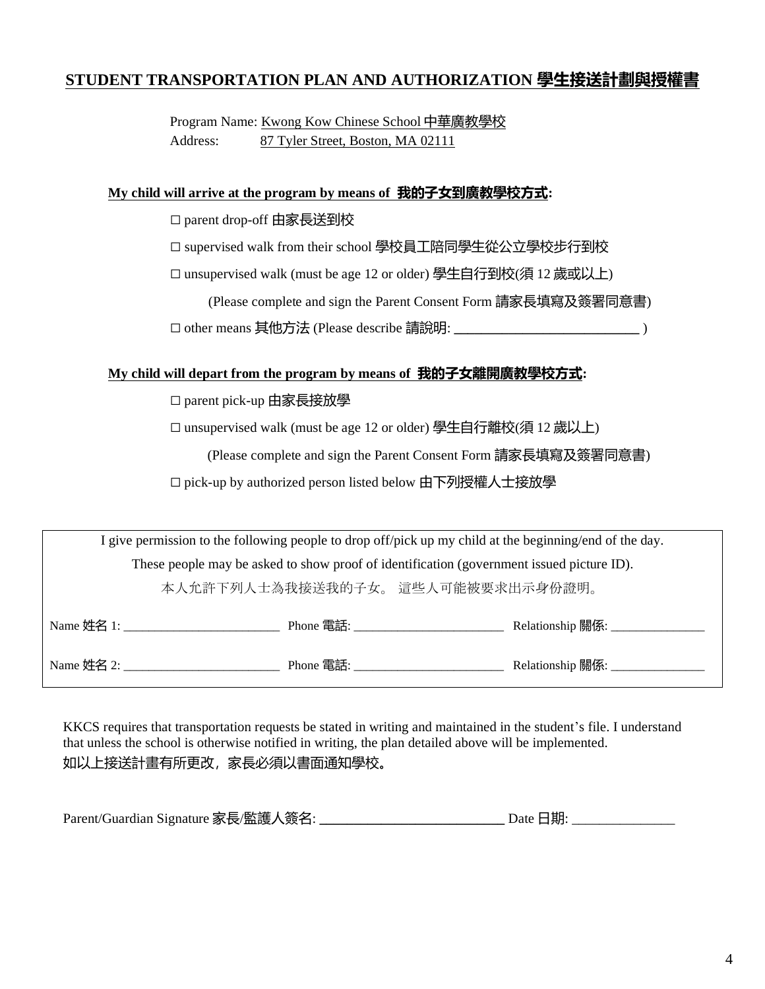### **STUDENT TRANSPORTATION PLAN AND AUTHORIZATION 學生接送計劃與授權書**

 Program Name: Kwong Kow Chinese School 中華廣教學校 Address: 87 Tyler Street, Boston, MA 02111

#### **My child will arrive at the program by means of 我的子女到廣教學校方式:**

□ parent drop-off 由家長送到校

□ supervised walk from their school 學校員工陪同學生從公立學校步行到校

□ unsupervised walk (must be age 12 or older) 學生自行到校(須 12 歲或以上)

 (Please complete and sign the Parent Consent Form 請家長填寫及簽署同意書) ☐ other means 其他方法 (Please describe 請說明: **\_\_\_\_\_\_\_\_\_\_\_\_\_\_\_\_\_\_\_\_\_\_\_\_\_\_\_** )

#### **My child will depart from the program by means of 我的子女離開廣教學校方式:**

#### □ parent pick-up 由家長接放學

☐ unsupervised walk (must be age 12 or older) 學生自行離校(須 12 歲以上)

(Please complete and sign the Parent Consent Form 請家長填寫及簽署同意書)

□ pick-up by authorized person listed below 由下列授權人士接放學

| I give permission to the following people to drop off/pick up my child at the beginning/end of the day. |                                             |                                    |  |  |  |
|---------------------------------------------------------------------------------------------------------|---------------------------------------------|------------------------------------|--|--|--|
| These people may be asked to show proof of identification (government issued picture ID).               |                                             |                                    |  |  |  |
| 本人允許下列人士為我接送我的子女。 這些人可能被要求出示身份證明。                                                                       |                                             |                                    |  |  |  |
|                                                                                                         | Name 姓名 1: The Phone 電話:                    | Relationship 關係: ________________  |  |  |  |
|                                                                                                         | Name 姓名 2:<br>Phone 電話: <u>2000 marting</u> | Relationship 關係: _________________ |  |  |  |

KKCS requires that transportation requests be stated in writing and maintained in the student's file. I understand that unless the school is otherwise notified in writing, the plan detailed above will be implemented. 如以上接送計畫有所更改,家長必須以書面通知學校。

| Parent/Guardian Signature 家長/監護人簽名: | Date 日期. |
|-------------------------------------|----------|
|                                     |          |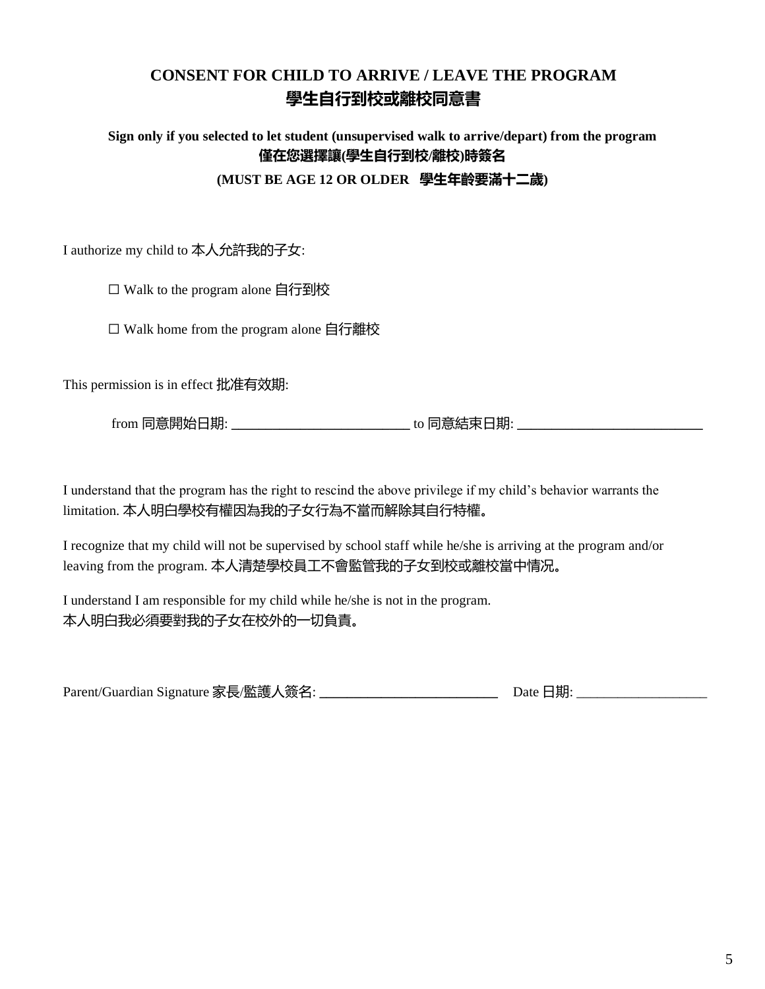# **CONSENT FOR CHILD TO ARRIVE / LEAVE THE PROGRAM 學生自行到校或離校同意書**

### **Sign only if you selected to let student (unsupervised walk to arrive/depart) from the program 僅在您選擇讓(學生自行到校/離校)時簽名 (MUST BE AGE 12 OR OLDER 學生年齡要滿十二歲)**

I authorize my child to 本人允許我的子女:

□ Walk to the program alone 自行到校

☐ Walk home from the program alone 自行離校

This permission is in effect 批准有效期:

from 同意開始日期: **\_\_\_\_\_\_\_\_\_\_\_\_\_\_\_\_\_\_\_\_\_\_\_\_\_\_** to 同意結束日期: **\_\_\_\_\_\_\_\_\_\_\_\_\_\_\_\_\_\_\_\_\_\_\_\_\_\_\_**

I understand that the program has the right to rescind the above privilege if my child's behavior warrants the limitation. 本人明白學校有權因為我的子女行為不當而解除其自行特權。

I recognize that my child will not be supervised by school staff while he/she is arriving at the program and/or leaving from the program. 本人清楚學校員工不會監管我的子女到校或離校當中情况。

I understand I am responsible for my child while he/she is not in the program. 本人明白我必須要對我的子女在校外的一切負責。

Parent/Guardian Signature 家長/監護人簽名: **\_\_\_\_\_\_\_\_\_\_\_\_\_\_\_\_\_\_\_\_\_\_\_\_\_\_** Date 日期: \_\_\_\_\_\_\_\_\_\_\_\_\_\_\_\_\_\_\_